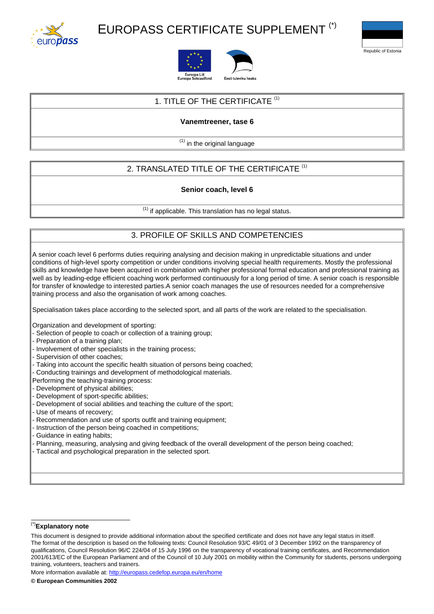

# EUROPASS CERTIFICATE SUPPLEMENT (\*)







### 1. TITLE OF THE CERTIFICATE <sup>(1)</sup>

#### **Vanemtreener, tase 6**

 $<sup>(1)</sup>$  in the original language</sup>

## 2. TRANSLATED TITLE OF THE CERTIFICATE<sup>(1)</sup>

#### **Senior coach, level 6**

 $<sup>(1)</sup>$  if applicable. This translation has no legal status.</sup>

### 3. PROFILE OF SKILLS AND COMPETENCIES

A senior coach level 6 performs duties requiring analysing and decision making in unpredictable situations and under conditions of high-level sporty competition or under conditions involving special health requirements. Mostly the professional skills and knowledge have been acquired in combination with higher professional formal education and professional training as well as by leading-edge efficient coaching work performed continuously for a long period of time. A senior coach is responsible for transfer of knowledge to interested parties.A senior coach manages the use of resources needed for a comprehensive training process and also the organisation of work among coaches.

Specialisation takes place according to the selected sport, and all parts of the work are related to the specialisation.

Organization and development of sporting:

- Selection of people to coach or collection of a training group;
- Preparation of a training plan;
- Involvement of other specialists in the training process;
- Supervision of other coaches;
- Taking into account the specific health situation of persons being coached;
- Conducting trainings and development of methodological materials.
- Performing the teaching-training process:
- Development of physical abilities;
- Development of sport-specific abilities;
- Development of social abilities and teaching the culture of the sport;
- Use of means of recovery;
- Recommendation and use of sports outfit and training equipment;
- Instruction of the person being coached in competitions;
- Guidance in eating habits;
- Planning, measuring, analysing and giving feedback of the overall development of the person being coached;
- Tactical and psychological preparation in the selected sport.

#### (\*)**Explanatory note**

More information available at: <http://europass.cedefop.europa.eu/en/home>

This document is designed to provide additional information about the specified certificate and does not have any legal status in itself. The format of the description is based on the following texts: Council Resolution 93/C 49/01 of 3 December 1992 on the transparency of qualifications, Council Resolution 96/C 224/04 of 15 July 1996 on the transparency of vocational training certificates, and Recommendation 2001/613/EC of the European Parliament and of the Council of 10 July 2001 on mobility within the Community for students, persons undergoing training, volunteers, teachers and trainers.